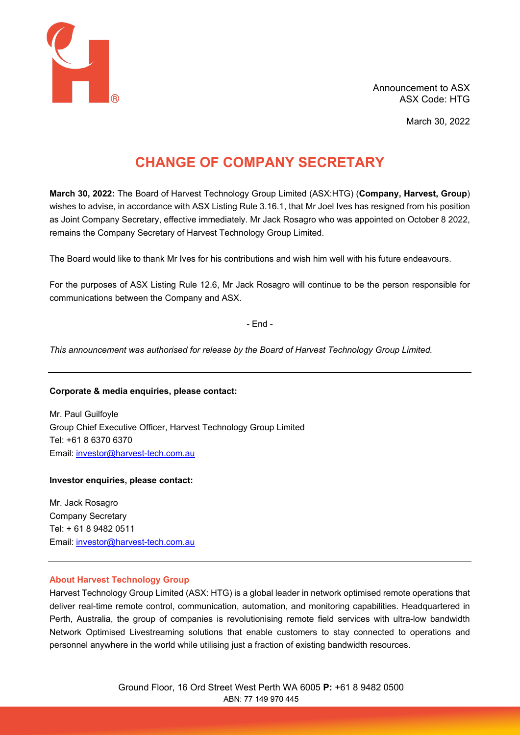

March 30, 2022

# **CHANGE OF COMPANY SECRETARY**

**March 30, 2022:** The Board of Harvest Technology Group Limited (ASX:HTG) (**Company, Harvest, Group**) wishes to advise, in accordance with ASX Listing Rule 3.16.1, that Mr Joel Ives has resigned from his position as Joint Company Secretary, effective immediately. Mr Jack Rosagro who was appointed on October 8 2022, remains the Company Secretary of Harvest Technology Group Limited.

The Board would like to thank Mr Ives for his contributions and wish him well with his future endeavours.

For the purposes of ASX Listing Rule 12.6, Mr Jack Rosagro will continue to be the person responsible for communications between the Company and ASX.

- End -

*This announcement was authorised for release by the Board of Harvest Technology Group Limited.*

## **Corporate & media enquiries, please contact:**

Mr. Paul Guilfoyle Group Chief Executive Officer, Harvest Technology Group Limited Tel: +61 8 6370 6370 Email: [investor@harvest-tech.com.au](mailto:investor@harvest-tech.com.au)

## **Investor enquiries, please contact:**

Mr. Jack Rosagro Company Secretary Tel: + 61 8 9482 0511 Email: [investor@harvest-tech.com.au](mailto:investor@harvest-tech.com.au)

## **About Harvest Technology Group**

Harvest Technology Group Limited (ASX: HTG) is a global leader in network optimised remote operations that deliver real-time remote control, communication, automation, and monitoring capabilities. Headquartered in Perth, Australia, the group of companies is revolutionising remote field services with ultra-low bandwidth Network Optimised Livestreaming solutions that enable customers to stay connected to operations and personnel anywhere in the world while utilising just a fraction of existing bandwidth resources.